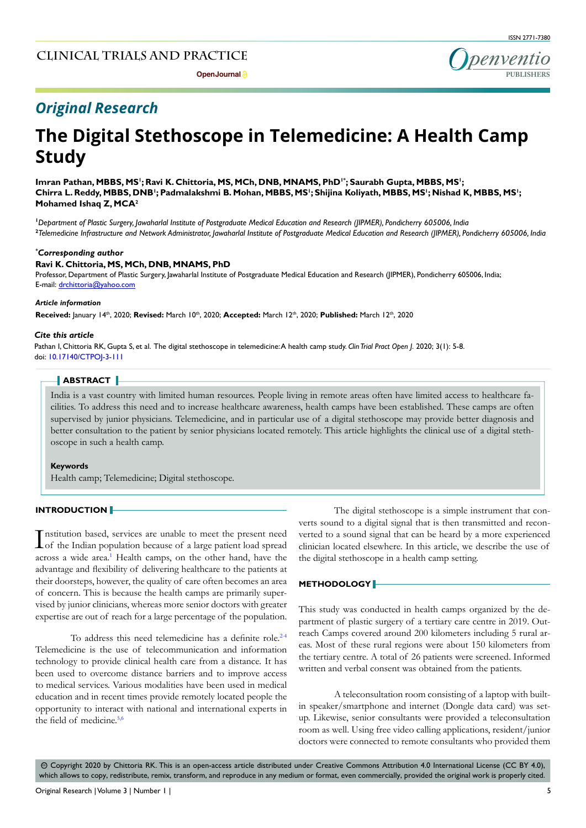

## *Original Research*

# **The Digital Stethoscope in Telemedicine: A Health Camp Study**

Imran Pathan, **MBBS, MS<sup>1</sup>; Ravi K. Chittoria, MS, MCh, DNB, MNAMS,** PhD<sup>1</sup>°; Saurabh Gupta, **MBBS, MS<sup>1</sup>;** Chirra L. Reddy, MBBS, DNB'; Padmalakshmi B. Mohan, MBBS, MS'; Shijina Koliyath, MBBS, MS'; Nishad K, MBBS, MS'; **Mohamed Ishaq Z, MCA2**

**1** *Department of Plastic Surgery, Jawaharlal Institute of Postgraduate Medical Education and Research (JIPMER), Pondicherry 605006, India* **2** *Telemedicine Infrastructure and Network Administrator, Jawaharlal Institute of Postgraduate Medical Education and Research (JIPMER), Pondicherry 605006, India*

### *\* Corresponding author*

### **Ravi K. Chittoria, MS, MCh, DNB, MNAMS, PhD**

Professor, Department of Plastic Surgery, Jawaharlal Institute of Postgraduate Medical Education and Research (JIPMER), Pondicherry 605006, India; E-mail: drchittoria@yahoo.com

#### *Article information*

**Received:** January 14th, 2020; **Revised:** March 10th, 2020; **Accepted:** March 12th, 2020; **Published:** March 12th, 2020

### *Cite this article*

Pathan I, Chittoria RK, Gupta S, et al. The digital stethoscope in telemedicine: A health camp study. *Clin Trial Pract Open J*. 2020; 3(1): 5-8. doi: [10.17140/CTPOJ-3-111](http://dx.doi.org/10.17140/CTPOJ-3-111)

## **ABSTRACT**

India is a vast country with limited human resources. People living in remote areas often have limited access to healthcare facilities. To address this need and to increase healthcare awareness, health camps have been established. These camps are often supervised by junior physicians. Telemedicine, and in particular use of a digital stethoscope may provide better diagnosis and better consultation to the patient by senior physicians located remotely. This article highlights the clinical use of a digital stethoscope in such a health camp.

### **Keywords**

Health camp; Telemedicine; Digital stethoscope.

### **INTRODUCTION**

Institution based, services are unable to meet the present need<br>Iof the Indian population because of a large patient load spread of the Indian population because of a large patient load spread across a wide area.<sup>1</sup> Health camps, on the other hand, have the advantage and flexibility of delivering healthcare to the patients at their doorsteps, however, the quality of care often becomes an area of concern. This is because the health camps are primarily supervised by junior clinicians, whereas more senior doctors with greater expertise are out of reach for a large percentage of the population.

To address this need telemedicine has a definite role.<sup>[2-4](#page-3-1)</sup> Telemedicine is the use of telecommunication and information technology to provide clinical health care from a distance. It has been used to overcome distance barriers and to improve access to medical services. Various modalities have been used in medical education and in recent times provide remotely located people the opportunity to interact with national and international experts in the field of medicine.<sup>[5,6](#page-3-2)</sup>

The digital stethoscope is a simple instrument that converts sound to a digital signal that is then transmitted and reconverted to a sound signal that can be heard by a more experienced clinician located elsewhere. In this article, we describe the use of the digital stethoscope in a health camp setting.

### **METHODOLOGY**

This study was conducted in health camps organized by the department of plastic surgery of a tertiary care centre in 2019. Outreach Camps covered around 200 kilometers including 5 rural areas. Most of these rural regions were about 150 kilometers from the tertiary centre. A total of 26 patients were screened. Informed written and verbal consent was obtained from the patients.

A teleconsultation room consisting of a laptop with builtin speaker/smartphone and internet (Dongle data card) was setup. Likewise, senior consultants were provided a teleconsultation room as well. Using free video calling applications, resident/junior doctors were connected to remote consultants who provided them

 Copyright 2020 by Chittoria RK. This is an open-access article distributed under Creative Commons Attribution 4.0 International License (CC BY 4.0), cc which allows to copy, redistribute, remix, transform, and reproduce in any medium or format, even commercially, provided the original work is properly cited.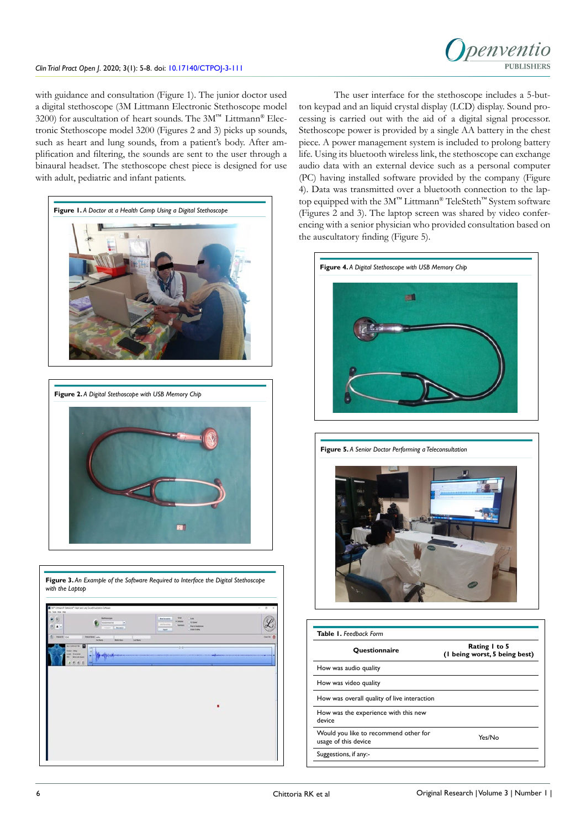## penventio **PUBLISHERS**

with guidance and consultation (Figure 1). The junior doctor used a digital stethoscope (3M Littmann Electronic Stethoscope model 3200) for auscultation of heart sounds. The 3M™ Littmann® Electronic Stethoscope model 3200 (Figures 2 and 3) picks up sounds, such as heart and lung sounds, from a patient's body. After amplification and filtering, the sounds are sent to the user through a binaural headset. The stethoscope chest piece is designed for use with adult, pediatric and infant patients.



The user interface for the stethoscope includes a 5-button keypad and an liquid crystal display (LCD) display. Sound processing is carried out with the aid of a digital signal processor. Stethoscope power is provided by a single AA battery in the chest piece. A power management system is included to prolong battery life. Using its bluetooth wireless link, the stethoscope can exchange audio data with an external device such as a personal computer (PC) having installed software provided by the company (Figure 4). Data was transmitted over a bluetooth connection to the laptop equipped with the 3M™ Littmann® TeleSteth™ System software (Figures 2 and 3). The laptop screen was shared by video conferencing with a senior physician who provided consultation based on the auscultatory finding (Figure 5).







| <b>Ouestionnaire</b>                                          | Rating I to 5<br>(I being worst, 5 being best) |
|---------------------------------------------------------------|------------------------------------------------|
| How was audio quality                                         |                                                |
| How was video quality                                         |                                                |
| How was overall quality of live interaction                   |                                                |
| How was the experience with this new<br>device                |                                                |
| Would you like to recommend other for<br>usage of this device | Yes/No                                         |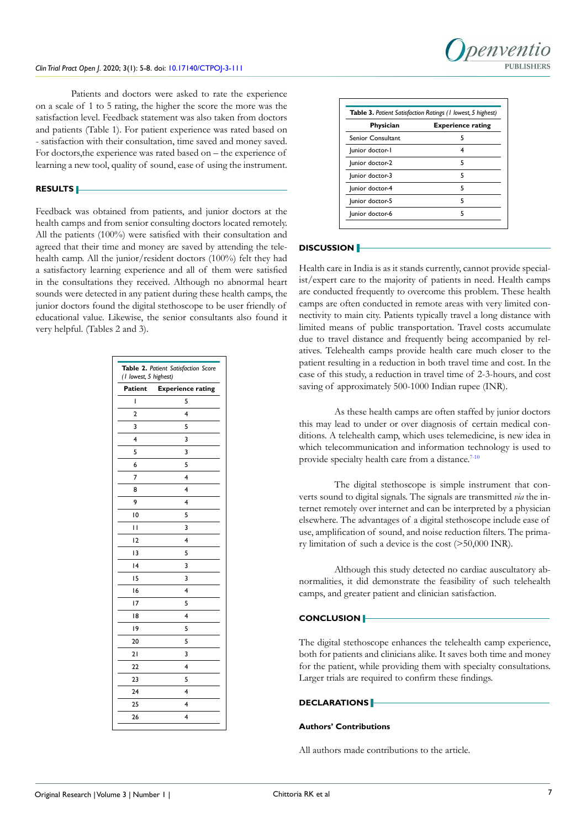

Patients and doctors were asked to rate the experience on a scale of 1 to 5 rating, the higher the score the more was the satisfaction level. Feedback statement was also taken from doctors and patients (Table 1). For patient experience was rated based on - satisfaction with their consultation, time saved and money saved. For doctors,the experience was rated based on – the experience of learning a new tool, quality of sound, ease of using the instrument.

## **RESULTS**

Feedback was obtained from patients, and junior doctors at the health camps and from senior consulting doctors located remotely. All the patients (100%) were satisfied with their consultation and agreed that their time and money are saved by attending the telehealth camp. All the junior/resident doctors (100%) felt they had a satisfactory learning experience and all of them were satisfied in the consultations they received. Although no abnormal heart sounds were detected in any patient during these health camps, the junior doctors found the digital stethoscope to be user friendly of educational value. Likewise, the senior consultants also found it very helpful. (Tables 2 and 3).

| Table 2. Patient Satisfaction Score<br>(1 lowest, 5 highest) |                          |
|--------------------------------------------------------------|--------------------------|
| <b>Patient</b>                                               | <b>Experience rating</b> |
| I                                                            | 5                        |
| $\overline{2}$                                               | 4                        |
| 3                                                            | 5                        |
| 4                                                            | 3                        |
| 5                                                            | 3                        |
| 6                                                            | 5                        |
| 7                                                            | 4                        |
| 8                                                            | 4                        |
| 9                                                            | 4                        |
| 10                                                           | 5                        |
| П                                                            | 3                        |
| 12                                                           | 4                        |
| 13                                                           | 5                        |
| 4                                                            | 3                        |
| 15                                                           | 3                        |
| 16                                                           | 4                        |
| 17                                                           | 5                        |
| 18                                                           | 4                        |
| 19                                                           | 5                        |
| 20                                                           | 5                        |
| 21                                                           | 3                        |
| 22                                                           | 4                        |
| 23                                                           | 5                        |
| 24                                                           | 4                        |
| 25                                                           | 4                        |
| 26                                                           | 4                        |

| <b>Table 3.</b> Patient Satisfaction Ratings (1 lowest, 5 highest) |                          |
|--------------------------------------------------------------------|--------------------------|
| Physician                                                          | <b>Experience rating</b> |
| <b>Senior Consultant</b>                                           | 5                        |
| lunior doctor-1                                                    | 4                        |
| lunior doctor-2                                                    | 5                        |
| lunior doctor-3                                                    | 5                        |
| Junior doctor-4                                                    | 5                        |
| lunior doctor-5                                                    | 5                        |
| Junior doctor-6                                                    | 5                        |

## **DISCUSSION**

Health care in India is as it stands currently, cannot provide specialist/expert care to the majority of patients in need. Health camps are conducted frequently to overcome this problem. These health camps are often conducted in remote areas with very limited connectivity to main city. Patients typically travel a long distance with limited means of public transportation. Travel costs accumulate due to travel distance and frequently being accompanied by relatives. Telehealth camps provide health care much closer to the patient resulting in a reduction in both travel time and cost. In the case of this study, a reduction in travel time of 2-3-hours, and cost saving of approximately 500-1000 Indian rupee (INR).

As these health camps are often staffed by junior doctors this may lead to under or over diagnosis of certain medical conditions. A telehealth camp, which uses telemedicine, is new idea in which telecommunication and information technology is used to provide specialty health care from a distance.<sup>7-10</sup>

The digital stethoscope is simple instrument that converts sound to digital signals. The signals are transmitted *via* the internet remotely over internet and can be interpreted by a physician elsewhere. The advantages of a digital stethoscope include ease of use, amplification of sound, and noise reduction filters. The primary limitation of such a device is the cost (>50,000 INR).

Although this study detected no cardiac auscultatory abnormalities, it did demonstrate the feasibility of such telehealth camps, and greater patient and clinician satisfaction.

### **CONCLUSION**

The digital stethoscope enhances the telehealth camp experience, both for patients and clinicians alike. It saves both time and money for the patient, while providing them with specialty consultations. Larger trials are required to confirm these findings.

### **DECLARATIONS**

## **Authors' Contributions**

All authors made contributions to the article.